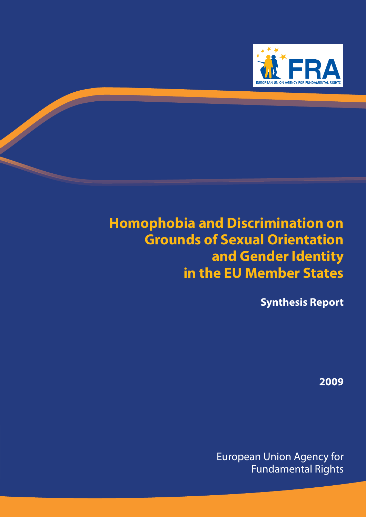

## **Homophobia and Discrimination on Grounds of Sexual Orientation and Gender Identity in the EU Member States**

**Synthesis Report**

**2009**

European Union Agency for Fundamental Rights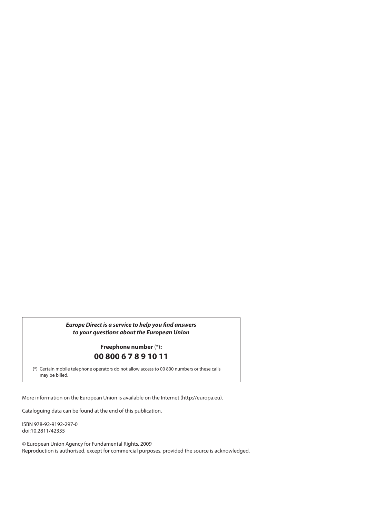#### **Europe Direct is a service to help you find answers** *to your questions about the European Union*

### **Freephone number** (\*)**: 00 800 6 7 8 9 10 11**

(\*) Certain mobile telephone operators do not allow access to 00 800 numbers or these calls may be billed.

More information on the European Union is available on the Internet (http://europa.eu).

Cataloguing data can be found at the end of this publication.

ISBN 978-92-9192-297-0 doi:10.2811/42335

© European Union Agency for Fundamental Rights, 2009 Reproduction is authorised, except for commercial purposes, provided the source is acknowledged.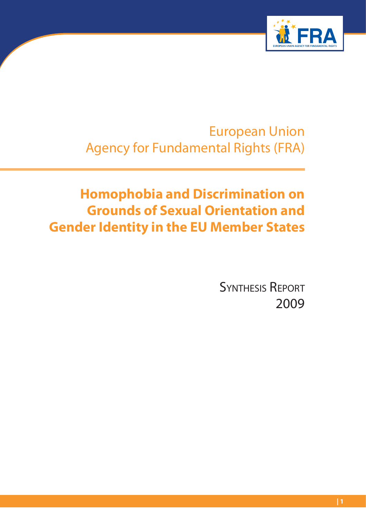

European Union Agency for Fundamental Rights (FRA)

## **Homophobia and Discrimination on Grounds of Sexual Orientation and Gender Identity in the EU Member States**

SYNTHESIS REPORT 2009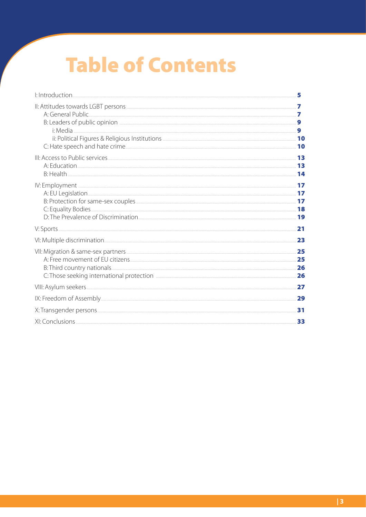# **Table of Contents**

| 5  |
|----|
|    |
|    |
|    |
|    |
|    |
|    |
|    |
|    |
| 31 |
| 33 |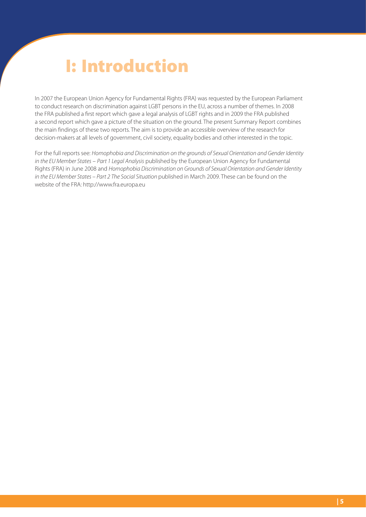# **I: Introduction**

In 2007 the European Union Agency for Fundamental Rights (FRA) was requested by the European Parliament to conduct research on discrimination against LGBT persons in the EU, across a number of themes. In 2008 the FRA published a first report which gave a legal analysis of LGBT rights and in 2009 the FRA published a second report which gave a picture of the situation on the ground. The present Summary Report combines the main findings of these two reports. The aim is to provide an accessible overview of the research for decision-makers at all levels of government, civil society, equality bodies and other interested in the topic.

For the full reports see: Homophobia and Discrimination on the grounds of Sexual Orientation and Gender Identity in the EU Member States – Part 1 Legal Analysis published by the European Union Agency for Fundamental Rights (FRA) in June 2008 and Homophobia Discrimination on Grounds of Sexual Orientation and Gender Identity in the EU Member States – Part 2 The Social Situation published in March 2009. These can be found on the website of the FRA: http://www.fra.europa.eu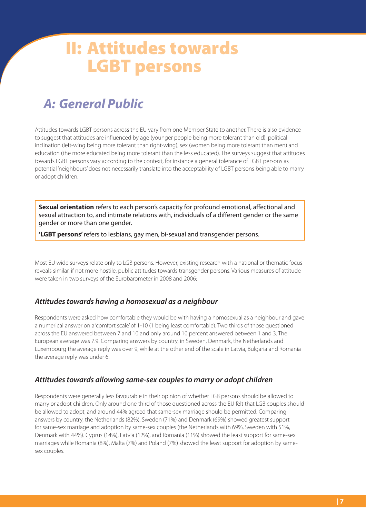## **II: Attitudes towards LGBT persons**

## *A: General Public*

Attitudes towards LGBT persons across the EU vary from one Member State to another. There is also evidence to suggest that attitudes are influenced by age (younger people being more tolerant than old), political inclination (left-wing being more tolerant than right-wing), sex (women being more tolerant than men) and education (the more educated being more tolerant than the less educated). The surveys suggest that attitudes towards LGBT persons vary according to the context, for instance a general tolerance of LGBT persons as potential 'neighbours' does not necessarily translate into the acceptability of LGBT persons being able to marry or adopt children.

**Sexual orientation** refers to each person's capacity for profound emotional, affectional and sexual attraction to, and intimate relations with, individuals of a different gender or the same gender or more than one gender.

**'LGBT persons'** refers to lesbians, gay men, bi-sexual and transgender persons.

Most EU wide surveys relate only to LGB persons. However, existing research with a national or thematic focus reveals similar, if not more hostile, public attitudes towards transgender persons. Various measures of attitude were taken in two surveys of the Eurobarometer in 2008 and 2006:

### *Attitudes towards having a homosexual as a neighbour*

Respondents were asked how comfortable they would be with having a homosexual as a neighbour and gave a numerical answer on a 'comfort scale' of 1-10 (1 being least comfortable). Two thirds of those questioned across the EU answered between 7 and 10 and only around 10 percent answered between 1 and 3. The European average was 7.9. Comparing answers by country, in Sweden, Denmark, the Netherlands and Luxembourg the average reply was over 9, while at the other end of the scale in Latvia, Bulgaria and Romania the average reply was under 6.

### *Attitudes towards allowing same-sex couples to marry or adopt children*

Respondents were generally less favourable in their opinion of whether LGB persons should be allowed to marry or adopt children. Only around one third of those questioned across the EU felt that LGB couples should be allowed to adopt, and around 44% agreed that same-sex marriage should be permitted. Comparing answers by country, the Netherlands (82%), Sweden (71%) and Denmark (69%) showed greatest support for same-sex marriage and adoption by same-sex couples (the Netherlands with 69%, Sweden with 51%, Denmark with 44%). Cyprus (14%), Latvia (12%), and Romania (11%) showed the least support for same-sex marriages while Romania (8%), Malta (7%) and Poland (7%) showed the least support for adoption by samesex couples.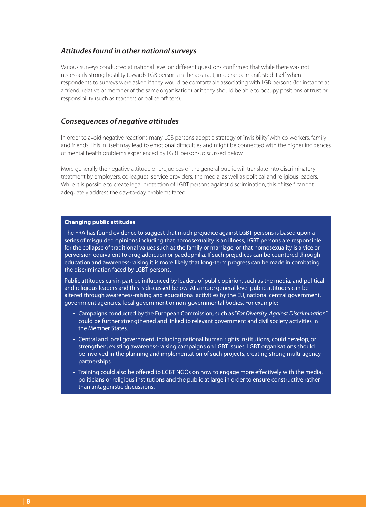### *Attitudes found in other national surveys*

Various surveys conducted at national level on different questions confirmed that while there was not necessarily strong hostility towards LGB persons in the abstract, intolerance manifested itself when respondents to surveys were asked if they would be comfortable associating with LGB persons (for instance as a friend, relative or member of the same organisation) or if they should be able to occupy positions of trust or responsibility (such as teachers or police officers).

### *Consequences of negative attitudes*

In order to avoid negative reactions many LGB persons adopt a strategy of 'invisibility' with co-workers, family and friends. This in itself may lead to emotional difficulties and might be connected with the higher incidences of mental health problems experienced by LGBT persons, discussed below.

More generally the negative attitude or prejudices of the general public will translate into discriminatory treatment by employers, colleagues, service providers, the media, as well as political and religious leaders. While it is possible to create legal protection of LGBT persons against discrimination, this of itself cannot adequately address the day-to-day problems faced.

#### **Changing public attitudes**

The FRA has found evidence to suggest that much prejudice against LGBT persons is based upon a series of misguided opinions including that homosexuality is an illness, LGBT persons are responsible for the collapse of traditional values such as the family or marriage, or that homosexuality is a vice or perversion equivalent to drug addiction or paedophilia. If such prejudices can be countered through education and awareness-raising it is more likely that long-term progress can be made in combating the discrimination faced by LGBT persons.

Public attitudes can in part be influenced by leaders of public opinion, such as the media, and political and religious leaders and this is discussed below. At a more general level public attitudes can be altered through awareness-raising and educational activities by the EU, national central government, government agencies, local government or non-governmental bodies. For example:

- Campaigns conducted by the European Commission, such as "For Diversity. Against Discrimination" could be further strengthened and linked to relevant government and civil society activities in the Member States.
- Central and local government, including national human rights institutions, could develop, or strengthen, existing awareness-raising campaigns on LGBT issues. LGBT organisations should be involved in the planning and implementation of such projects, creating strong multi-agency partnerships.
- Training could also be offered to LGBT NGOs on how to engage more effectively with the media, politicians or religious institutions and the public at large in order to ensure constructive rather than antagonistic discussions.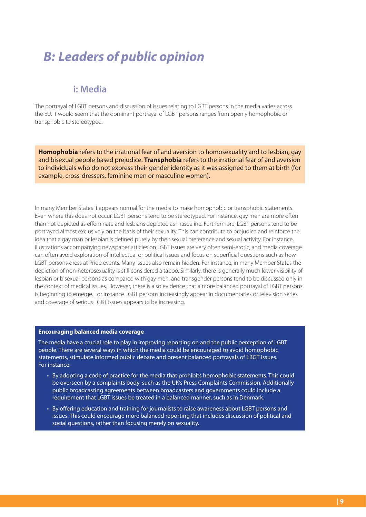## *B: Leaders of public opinion*

### **i: Media**

The portrayal of LGBT persons and discussion of issues relating to LGBT persons in the media varies across the EU. It would seem that the dominant portrayal of LGBT persons ranges from openly homophobic or transphobic to stereotyped.

**Homophobia** refers to the irrational fear of and aversion to homosexuality and to lesbian, gay and bisexual people based prejudice. **Transphobia** refers to the irrational fear of and aversion to individuals who do not express their gender identity as it was assigned to them at birth (for example, cross-dressers, feminine men or masculine women).

In many Member States it appears normal for the media to make homophobic or transphobic statements. Even where this does not occur, LGBT persons tend to be stereotyped. For instance, gay men are more often than not depicted as effeminate and lesbians depicted as masculine. Furthermore, LGBT persons tend to be portrayed almost exclusively on the basis of their sexuality. This can contribute to prejudice and reinforce the idea that a gay man or lesbian is defined purely by their sexual preference and sexual activity. For instance, illustrations accompanying newspaper articles on LGBT issues are very often semi-erotic, and media coverage can often avoid exploration of intellectual or political issues and focus on superficial questions such as how LGBT persons dress at Pride events. Many issues also remain hidden. For instance, in many Member States the depiction of non-heterosexuality is still considered a taboo. Similarly, there is generally much lower visibility of lesbian or bisexual persons as compared with gay men, and transgender persons tend to be discussed only in the context of medical issues. However, there is also evidence that a more balanced portrayal of LGBT persons is beginning to emerge. For instance LGBT persons increasingly appear in documentaries or television series and coverage of serious LGBT issues appears to be increasing.

#### **Encouraging balanced media coverage**

The media have a crucial role to play in improving reporting on and the public perception of LGBT people. There are several ways in which the media could be encouraged to avoid homophobic statements, stimulate informed public debate and present balanced portrayals of LBGT issues. For instance:

- By adopting a code of practice for the media that prohibits homophobic statements. This could be overseen by a complaints body, such as the UK's Press Complaints Commission. Additionally public broadcasting agreements between broadcasters and governments could include a requirement that LGBT issues be treated in a balanced manner, such as in Denmark.
- By offering education and training for journalists to raise awareness about LGBT persons and issues. This could encourage more balanced reporting that includes discussion of political and social questions, rather than focusing merely on sexuality.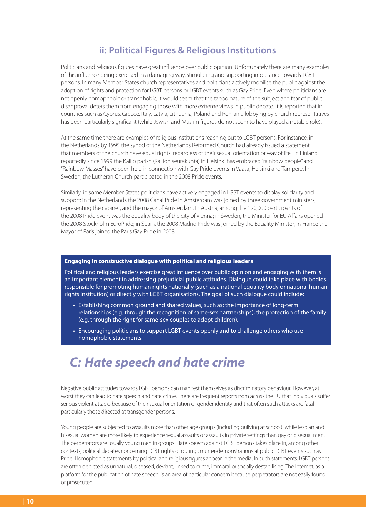### **ii: Political Figures & Religious Institutions**

Politicians and religious figures have great influence over public opinion. Unfortunately there are many examples of this influence being exercised in a damaging way, stimulating and supporting intolerance towards LGBT persons. In many Member States church representatives and politicians actively mobilise the public against the adoption of rights and protection for LGBT persons or LGBT events such as Gay Pride. Even where politicians are not openly homophobic or transphobic, it would seem that the taboo nature of the subject and fear of public disapproval deters them from engaging those with more extreme views in public debate. It is reported that in countries such as Cyprus, Greece, Italy, Latvia, Lithuania, Poland and Romania lobbying by church representatives has been particularly significant (while Jewish and Muslim figures do not seem to have played a notable role).

At the same time there are examples of religious institutions reaching out to LGBT persons. For instance, in the Netherlands by 1995 the synod of the Netherlands Reformed Church had already issued a statement that members of the church have equal rights, regardless of their sexual orientation or way of life. In Finland, reportedly since 1999 the Kallio parish (Kallion seurakunta) in Helsinki has embraced "rainbow people" and "Rainbow Masses" have been held in connection with Gay Pride events in Vaasa, Helsinki and Tampere. In Sweden, the Lutheran Church participated in the 2008 Pride events.

Similarly, in some Member States politicians have actively engaged in LGBT events to display solidarity and support: in the Netherlands the 2008 Canal Pride in Amsterdam was joined by three government ministers, representing the cabinet, and the mayor of Amsterdam. In Austria, among the 120,000 participants of the 2008 Pride event was the equality body of the city of Vienna; in Sweden, the Minister for EU Affairs opened the 2008 Stockholm EuroPride; in Spain, the 2008 Madrid Pride was joined by the Equality Minister; in France the Mayor of Paris joined the Paris Gay Pride in 2008.

### **Engaging in constructive dialogue with political and religious leaders**

Political and religious leaders exercise great influence over public opinion and engaging with them is an important element in addressing prejudicial public attitudes. Dialogue could take place with bodies responsible for promoting human rights nationally (such as a national equality body or national human rights institution) or directly with LGBT organisations. The goal of such dialogue could include:

- Establishing common ground and shared values, such as: the importance of long-term relationships (e.g. through the recognition of same-sex partnerships), the protection of the family (e.g. through the right for same-sex couples to adopt children).
- Encouraging politicians to support LGBT events openly and to challenge others who use homophobic statements.

### *C: Hate speech and hate crime*

Negative public attitudes towards LGBT persons can manifest themselves as discriminatory behaviour. However, at worst they can lead to hate speech and hate crime. There are frequent reports from across the EU that individuals suffer serious violent attacks because of their sexual orientation or gender identity and that often such attacks are fatal particularly those directed at transgender persons.

Young people are subjected to assaults more than other age groups (including bullying at school), while lesbian and bisexual women are more likely to experience sexual assaults or assaults in private settings than gay or bisexual men. The perpetrators are usually young men in groups. Hate speech against LGBT persons takes place in, among other contexts, political debates concerning LGBT rights or during counter-demonstrations at public LGBT events such as Pride. Homophobic statements by political and religious figures appear in the media. In such statements, LGBT persons are often depicted as unnatural, diseased, deviant, linked to crime, immoral or socially destabilising. The Internet, as a platform for the publication of hate speech, is an area of particular concern because perpetrators are not easily found or prosecuted.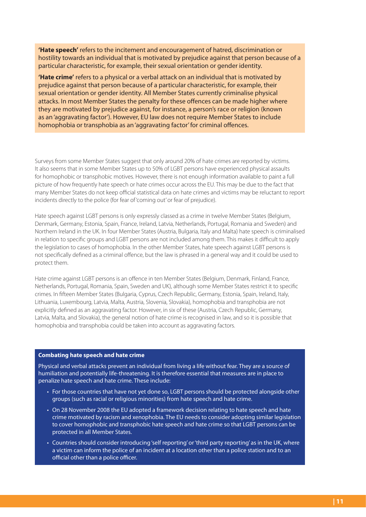**'Hate speech'** refers to the incitement and encouragement of hatred, discrimination or hostility towards an individual that is motivated by prejudice against that person because of a particular characteristic, for example, their sexual orientation or gender identity.

**'Hate crime'** refers to a physical or a verbal attack on an individual that is motivated by prejudice against that person because of a particular characteristic, for example, their sexual orientation or gender identity. All Member States currently criminalise physical attacks. In most Member States the penalty for these offences can be made higher where they are motivated by prejudice against, for instance, a person's race or religion (known as an 'aggravating factor'). However, EU law does not require Member States to include homophobia or transphobia as an 'aggravating factor' for criminal offences.

Surveys from some Member States suggest that only around 20% of hate crimes are reported by victims. It also seems that in some Member States up to 50% of LGBT persons have experienced physical assaults for homophobic or transphobic motives. However, there is not enough information available to paint a full picture of how frequently hate speech or hate crimes occur across the EU. This may be due to the fact that many Member States do not keep official statistical data on hate crimes and victims may be reluctant to report incidents directly to the police (for fear of 'coming out' or fear of prejudice).

Hate speech against LGBT persons is only expressly classed as a crime in twelve Member States (Belgium, Denmark, Germany, Estonia, Spain, France, Ireland, Latvia, Netherlands, Portugal, Romania and Sweden) and Northern Ireland in the UK. In four Member States (Austria, Bulgaria, Italy and Malta) hate speech is criminalised in relation to specific groups and LGBT persons are not included among them. This makes it difficult to apply the legislation to cases of homophobia. In the other Member States, hate speech against LGBT persons is not specifically defined as a criminal offence, but the law is phrased in a general way and it could be used to protect them.

Hate crime against LGBT persons is an offence in ten Member States (Belgium, Denmark, Finland, France, Netherlands, Portugal, Romania, Spain, Sweden and UK), although some Member States restrict it to specific crimes. In fifteen Member States (Bulgaria, Cyprus, Czech Republic, Germany, Estonia, Spain, Ireland, Italy, Lithuania, Luxembourg, Latvia, Malta, Austria, Slovenia, Slovakia), homophobia and transphobia are not explicitly defined as an aggravating factor. However, in six of these (Austria, Czech Republic, Germany, Latvia, Malta, and Slovakia), the general notion of hate crime is recognised in law, and so it is possible that homophobia and transphobia could be taken into account as aggravating factors.

#### **Combating hate speech and hate crime**

Physical and verbal attacks prevent an individual from living a life without fear. They are a source of humiliation and potentially life-threatening. It is therefore essential that measures are in place to penalize hate speech and hate crime. These include:

- For those countries that have not yet done so, LGBT persons should be protected alongside other groups (such as racial or religious minorities) from hate speech and hate crime.
- On 28 November 2008 the EU adopted a framework decision relating to hate speech and hate crime motivated by racism and xenophobia. The EU needs to consider adopting similar legislation to cover homophobic and transphobic hate speech and hate crime so that LGBT persons can be protected in all Member States.
- Countries should consider introducing 'self reporting' or 'third party reporting' as in the UK, where a victim can inform the police of an incident at a location other than a police station and to an official other than a police officer.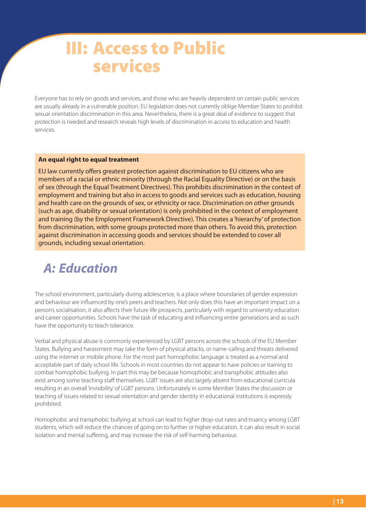## **III: Access to Public services**

Everyone has to rely on goods and services, and those who are heavily dependent on certain public services are usually already in a vulnerable position. EU legislation does not currently oblige Member States to prohibit sexual orientation discrimination in this area. Nevertheless, there is a great deal of evidence to suggest that protection is needed and research reveals high levels of discrimination in access to education and health services.

### **An equal right to equal treatment**

EU law currently offers greatest protection against discrimination to EU citizens who are members of a racial or ethnic minority (through the Racial Equality Directive) or on the basis of sex (through the Equal Treatment Directives). This prohibits discrimination in the context of employment and training but also in access to goods and services such as education, housing and health care on the grounds of sex, or ethnicity or race. Discrimination on other grounds (such as age, disability or sexual orientation) is only prohibited in the context of employment and training (by the Employment Framework Directive). This creates a 'hierarchy' of protection from discrimination, with some groups protected more than others. To avoid this, protection against discrimination in accessing goods and services should be extended to cover all grounds, including sexual orientation.

### *A: Education*

The school environment, particularly during adolescence, is a place where boundaries of gender expression and behaviour are influenced by one's peers and teachers. Not only does this have an important impact on a person's socialisation, it also affects their future life prospects, particularly with regard to university education and career opportunities. Schools have the task of educating and influencing entire generations and as such have the opportunity to teach tolerance.

Verbal and physical abuse is commonly experienced by LGBT persons across the schools of the EU Member States. Bullying and harassment may take the form of physical attacks, or name-calling and threats delivered using the internet or mobile phone. For the most part homophobic language is treated as a normal and acceptable part of daily school life. Schools in most countries do not appear to have policies or training to combat homophobic bullying. In part this may be because homophobic and transphobic attitudes also exist among some teaching staff themselves. LGBT issues are also largely absent from educational curricula resulting in an overall 'invisibility' of LGBT persons. Unfortunately in some Member States the discussion or teaching of issues related to sexual orientation and gender identity in educational institutions is expressly prohibited.

Homophobic and transphobic bullying at school can lead to higher drop-out rates and truancy among LGBT students, which will reduce the chances of going on to further or higher education. It can also result in social isolation and mental suffering, and may increase the risk of self-harming behaviour.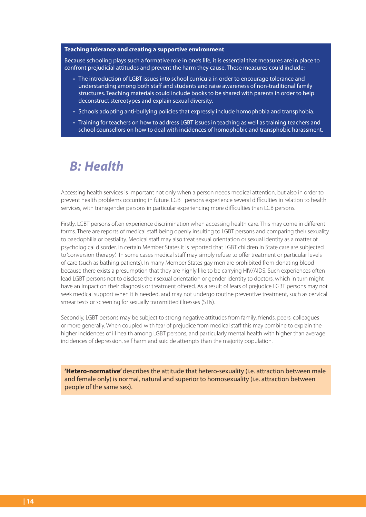#### **Teaching tolerance and creating a supportive environment**

Because schooling plays such a formative role in one's life, it is essential that measures are in place to confront prejudicial attitudes and prevent the harm they cause. These measures could include:

- The introduction of LGBT issues into school curricula in order to encourage tolerance and understanding among both staff and students and raise awareness of non-traditional family structures. Teaching materials could include books to be shared with parents in order to help deconstruct stereotypes and explain sexual diversity.
- Schools adopting anti-bullying policies that expressly include homophobia and transphobia.
- Training for teachers on how to address LGBT issues in teaching as well as training teachers and school counsellors on how to deal with incidences of homophobic and transphobic harassment.

### *B: Health*

Accessing health services is important not only when a person needs medical attention, but also in order to prevent health problems occurring in future. LGBT persons experience several difficulties in relation to health services, with transgender persons in particular experiencing more difficulties than LGB persons.

Firstly, LGBT persons often experience discrimination when accessing health care. This may come in different forms. There are reports of medical staff being openly insulting to LGBT persons and comparing their sexuality to paedophilia or bestiality. Medical staff may also treat sexual orientation or sexual identity as a matter of psychological disorder. In certain Member States it is reported that LGBT children in State care are subjected to 'conversion therapy'. In some cases medical staff may simply refuse to offer treatment or particular levels of care (such as bathing patients). In many Member States gay men are prohibited from donating blood because there exists a presumption that they are highly like to be carrying HIV/AIDS. Such experiences often lead LGBT persons not to disclose their sexual orientation or gender identity to doctors, which in turn might have an impact on their diagnosis or treatment offered. As a result of fears of prejudice LGBT persons may not seek medical support when it is needed, and may not undergo routine preventive treatment, such as cervical smear tests or screening for sexually transmitted illnesses (STIs).

Secondly, LGBT persons may be subject to strong negative attitudes from family, friends, peers, colleagues or more generally. When coupled with fear of prejudice from medical staff this may combine to explain the higher incidences of ill health among LGBT persons, and particularly mental health with higher than average incidences of depression, self harm and suicide attempts than the majority population.

**'Hetero-normative'** describes the attitude that hetero-sexuality (i.e. attraction between male and female only) is normal, natural and superior to homosexuality (i.e. attraction between people of the same sex).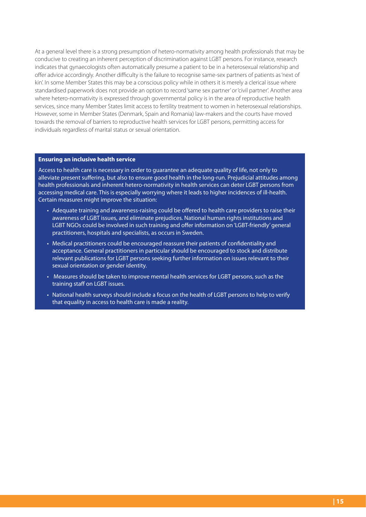At a general level there is a strong presumption of hetero-normativity among health professionals that may be conducive to creating an inherent perception of discrimination against LGBT persons. For instance, research indicates that gynaecologists often automatically presume a patient to be in a heterosexual relationship and offer advice accordingly. Another difficulty is the failure to recognise same-sex partners of patients as 'next of kin'. In some Member States this may be a conscious policy while in others it is merely a clerical issue where standardised paperwork does not provide an option to record 'same sex partner' or 'civil partner'. Another area where hetero-normativity is expressed through governmental policy is in the area of reproductive health services, since many Member States limit access to fertility treatment to women in heterosexual relationships. However, some in Member States (Denmark, Spain and Romania) law-makers and the courts have moved towards the removal of barriers to reproductive health services for LGBT persons, permitting access for individuals regardless of marital status or sexual orientation.

#### **Ensuring an inclusive health service**

Access to health care is necessary in order to guarantee an adequate quality of life, not only to alleviate present suffering, but also to ensure good health in the long-run. Prejudicial attitudes among health professionals and inherent hetero-normativity in health services can deter LGBT persons from accessing medical care. This is especially worrying where it leads to higher incidences of ill-health. Certain measures might improve the situation:

- Adequate training and awareness-raising could be offered to health care providers to raise their awareness of LGBT issues, and eliminate prejudices. National human rights institutions and LGBT NGOs could be involved in such training and offer information on 'LGBT-friendly' general practitioners, hospitals and specialists, as occurs in Sweden.
- Medical practitioners could be encouraged reassure their patients of confidentiality and acceptance. General practitioners in particular should be encouraged to stock and distribute relevant publications for LGBT persons seeking further information on issues relevant to their sexual orientation or gender identity.
- Measures should be taken to improve mental health services for LGBT persons, such as the training staff on LGBT issues.
- National health surveys should include a focus on the health of LGBT persons to help to verify that equality in access to health care is made a reality.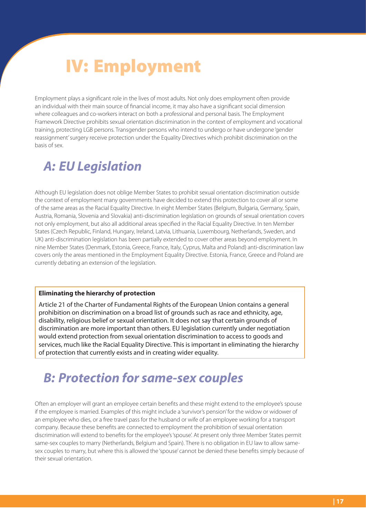# **IV: Employment**

Employment plays a significant role in the lives of most adults. Not only does employment often provide an individual with their main source of financial income, it may also have a significant social dimension where colleagues and co-workers interact on both a professional and personal basis. The Employment Framework Directive prohibits sexual orientation discrimination in the context of employment and vocational training, protecting LGB persons. Transgender persons who intend to undergo or have undergone 'gender reassignment' surgery receive protection under the Equality Directives which prohibit discrimination on the basis of sex.

## *A: EU Legislation*

Although EU legislation does not oblige Member States to prohibit sexual orientation discrimination outside the context of employment many governments have decided to extend this protection to cover all or some of the same areas as the Racial Equality Directive. In eight Member States (Belgium, Bulgaria, Germany, Spain, Austria, Romania, Slovenia and Slovakia) anti-discrimination legislation on grounds of sexual orientation covers not only employment, but also all additional areas specified in the Racial Equality Directive. In ten Member States (Czech Republic, Finland, Hungary, Ireland, Latvia, Lithuania, Luxembourg, Netherlands, Sweden, and UK) anti-discrimination legislation has been partially extended to cover other areas beyond employment. In nine Member States (Denmark, Estonia, Greece, France, Italy, Cyprus, Malta and Poland) anti-discrimination law covers only the areas mentioned in the Employment Equality Directive. Estonia, France, Greece and Poland are currently debating an extension of the legislation.

### **Eliminating the hierarchy of protection**

Article 21 of the Charter of Fundamental Rights of the European Union contains a general prohibition on discrimination on a broad list of grounds such as race and ethnicity, age, disability, religious belief or sexual orientation. It does not say that certain grounds of discrimination are more important than others. EU legislation currently under negotiation would extend protection from sexual orientation discrimination to access to goods and services, much like the Racial Equality Directive. This is important in eliminating the hierarchy of protection that currently exists and in creating wider equality.

## *B: Protection for same-sex couples*

Often an employer will grant an employee certain benefits and these might extend to the employee's spouse if the employee is married. Examples of this might include a 'survivor's pension' for the widow or widower of an employee who dies, or a free travel pass for the husband or wife of an employee working for a transport company. Because these benefits are connected to employment the prohibition of sexual orientation discrimination will extend to benefits for the employee's 'spouse'. At present only three Member States permit same-sex couples to marry (Netherlands, Belgium and Spain). There is no obligation in EU law to allow samesex couples to marry, but where this is allowed the 'spouse' cannot be denied these benefits simply because of their sexual orientation.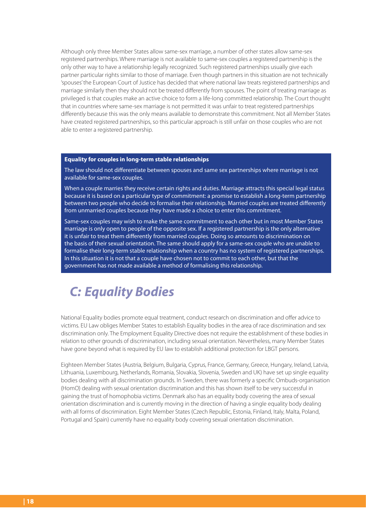Although only three Member States allow same-sex marriage, a number of other states allow same-sex registered partnerships. Where marriage is not available to same-sex couples a registered partnership is the only other way to have a relationship legally recognized. Such registered partnerships usually give each partner particular rights similar to those of marriage. Even though partners in this situation are not technically 'spouses' the European Court of Justice has decided that where national law treats registered partnerships and marriage similarly then they should not be treated differently from spouses. The point of treating marriage as privileged is that couples make an active choice to form a life-long committed relationship. The Court thought that in countries where same-sex marriage is not permitted it was unfair to treat registered partnerships differently because this was the only means available to demonstrate this commitment. Not all Member States have created registered partnerships, so this particular approach is still unfair on those couples who are not able to enter a registered partnership.

### **Equality for couples in long-term stable relationships**

The law should not differentiate between spouses and same sex partnerships where marriage is not available for same-sex couples.

When a couple marries they receive certain rights and duties. Marriage attracts this special legal status because it is based on a particular type of commitment: a promise to establish a long-term partnership between two people who decide to formalise their relationship. Married couples are treated differently from unmarried couples because they have made a choice to enter this commitment.

Same-sex couples may wish to make the same commitment to each other but in most Member States marriage is only open to people of the opposite sex. If a registered partnership is the only alternative it is unfair to treat them differently from married couples. Doing so amounts to discrimination on the basis of their sexual orientation. The same should apply for a same-sex couple who are unable to formalise their long-term stable relationship when a country has no system of registered partnerships. In this situation it is not that a couple have chosen not to commit to each other, but that the government has not made available a method of formalising this relationship.

## *C: Equality Bodies*

National Equality bodies promote equal treatment, conduct research on discrimination and offer advice to victims. EU Law obliges Member States to establish Equality bodies in the area of race discrimination and sex discrimination only. The Employment Equality Directive does not require the establishment of these bodies in relation to other grounds of discrimination, including sexual orientation. Nevertheless, many Member States have gone beyond what is required by EU law to establish additional protection for LBGT persons.

Eighteen Member States (Austria, Belgium, Bulgaria, Cyprus, France, Germany, Greece, Hungary, Ireland, Latvia, Lithuania, Luxembourg, Netherlands, Romania, Slovakia, Slovenia, Sweden and UK) have set up single equality bodies dealing with all discrimination grounds. In Sweden, there was formerly a specific Ombuds-organisation (HomO) dealing with sexual orientation discrimination and this has shown itself to be very successful in gaining the trust of homophobia victims. Denmark also has an equality body covering the area of sexual orientation discrimination and is currently moving in the direction of having a single equality body dealing with all forms of discrimination. Eight Member States (Czech Republic, Estonia, Finland, Italy, Malta, Poland, Portugal and Spain) currently have no equality body covering sexual orientation discrimination.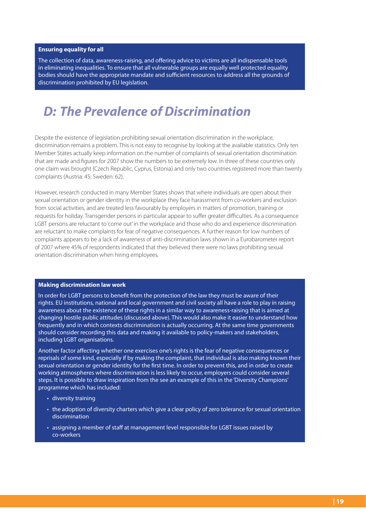#### **Ensuring equality for all**

The collection of data, awareness-raising, and offering advice to victims are all indispensable tools in eliminating inequalities. To ensure that all vulnerable groups are equally well protected equality bodies should have the appropriate mandate and sufficient resources to address all the grounds of discrimination prohibited by EU legislation.

### *D: The Prevalence of Discrimination*

Despite the existence of legislation prohibiting sexual orientation discrimination in the workplace, discrimination remains a problem. This is not easy to recognise by looking at the available statistics. Only ten Member States actually keep information on the number of complaints of sexual orientation discrimination that are made and figures for 2007 show the numbers to be extremely low. In three of these countries only one claim was brought (Czech Republic, Cyprus, Estonia) and only two countries registered more than twenty complaints (Austria: 45; Sweden: 62).

However, research conducted in many Member States shows that where individuals are open about their sexual orientation or gender identity in the workplace they face harassment from co-workers and exclusion from social activities, and are treated less favourably by employers in matters of promotion, training or requests for holiday. Transgender persons in particular appear to suffer greater difficulties. As a consequence LGBT persons are reluctant to 'come out' in the workplace and those who do and experience discrimination are reluctant to make complaints for fear of negative consequences. A further reason for low numbers of complaints appears to be a lack of awareness of anti-discrimination laws shown in a Eurobarometer report of 2007 where 45% of respondents indicated that they believed there were no laws prohibiting sexual orientation discrimination when hiring employees.

#### **Making discrimination law work**

In order for LGBT persons to benefit from the protection of the law they must be aware of their rights. EU institutions, national and local government and civil society all have a role to play in raising awareness about the existence of these rights in a similar way to awareness-raising that is aimed at changing hostile public attitudes (discussed above). This would also make it easier to understand how frequently and in which contexts discrimination is actually occurring. At the same time governments should consider recording this data and making it available to policy-makers and stakeholders, including LGBT organisations.

Another factor affecting whether one exercises one's rights is the fear of negative consequences or reprisals of some kind, especially if by making the complaint, that individual is also making known their sexual orientation or gender identity for the first time. In order to prevent this, and in order to create working atmospheres where discrimination is less likely to occur, employers could consider several steps. It is possible to draw inspiration from the see an example of this in the 'Diversity Champions' programme which has included:

- diversity training
- the adoption of diversity charters which give a clear policy of zero tolerance for sexual orientation discrimination
- assigning a member of staff at management level responsible for LGBT issues raised by co-workers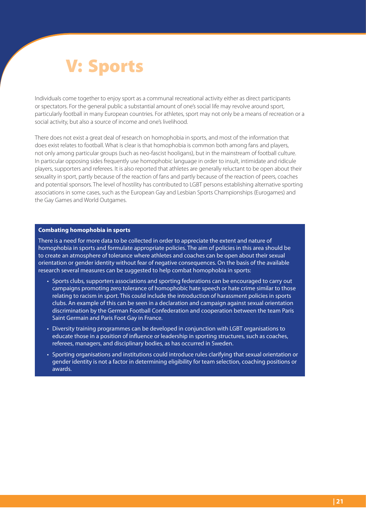# **V: Sports**

Individuals come together to enjoy sport as a communal recreational activity either as direct participants or spectators. For the general public a substantial amount of one's social life may revolve around sport, particularly football in many European countries. For athletes, sport may not only be a means of recreation or a social activity, but also a source of income and one's livelihood.

There does not exist a great deal of research on homophobia in sports, and most of the information that does exist relates to football. What is clear is that homophobia is common both among fans and players, not only among particular groups (such as neo-fascist hooligans), but in the mainstream of football culture. In particular opposing sides frequently use homophobic language in order to insult, intimidate and ridicule players, supporters and referees. It is also reported that athletes are generally reluctant to be open about their sexuality in sport, partly because of the reaction of fans and partly because of the reaction of peers, coaches and potential sponsors. The level of hostility has contributed to LGBT persons establishing alternative sporting associations in some cases, such as the European Gay and Lesbian Sports Championships (Eurogames) and the Gay Games and World Outgames.

#### **Combating homophobia in sports**

There is a need for more data to be collected in order to appreciate the extent and nature of homophobia in sports and formulate appropriate policies. The aim of policies in this area should be to create an atmosphere of tolerance where athletes and coaches can be open about their sexual orientation or gender identity without fear of negative consequences. On the basis of the available research several measures can be suggested to help combat homophobia in sports:

- Sports clubs, supporters associations and sporting federations can be encouraged to carry out campaigns promoting zero tolerance of homophobic hate speech or hate crime similar to those relating to racism in sport. This could include the introduction of harassment policies in sports clubs. An example of this can be seen in a declaration and campaign against sexual orientation discrimination by the German Football Confederation and cooperation between the team Paris Saint Germain and Paris Foot Gay in France.
- Diversity training programmes can be developed in conjunction with LGBT organisations to educate those in a position of influence or leadership in sporting structures, such as coaches, referees, managers, and disciplinary bodies, as has occurred in Sweden.
- Sporting organisations and institutions could introduce rules clarifying that sexual orientation or gender identity is not a factor in determining eligibility for team selection, coaching positions or awards.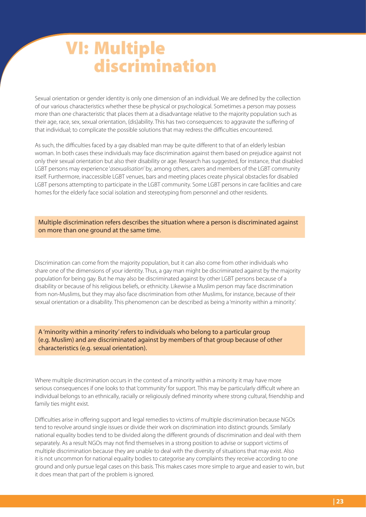# **VI: Multiple discrimination**

Sexual orientation or gender identity is only one dimension of an individual. We are defined by the collection of our various characteristics whether these be physical or psychological. Sometimes a person may possess more than one characteristic that places them at a disadvantage relative to the majority population such as their age, race, sex, sexual orientation, (dis)ability. This has two consequences: to aggravate the suffering of that individual; to complicate the possible solutions that may redress the difficulties encountered.

As such, the difficulties faced by a gay disabled man may be quite different to that of an elderly lesbian woman. In both cases these individuals may face discrimination against them based on prejudice against not only their sexual orientation but also their disability or age. Research has suggested, for instance, that disabled LGBT persons may experience 'asexualisation' by, among others, carers and members of the LGBT community itself. Furthermore, inaccessible LGBT venues, bars and meeting places create physical obstacles for disabled LGBT persons attempting to participate in the LGBT community. Some LGBT persons in care facilities and care homes for the elderly face social isolation and stereotyping from personnel and other residents.

### Multiple discrimination refers describes the situation where a person is discriminated against on more than one ground at the same time.

Discrimination can come from the majority population, but it can also come from other individuals who share one of the dimensions of your identity. Thus, a gay man might be discriminated against by the majority population for being gay. But he may also be discriminated against by other LGBT persons because of a disability or because of his religious beliefs, or ethnicity. Likewise a Muslim person may face discrimination from non-Muslims, but they may also face discrimination from other Muslims, for instance, because of their sexual orientation or a disability. This phenomenon can be described as being a 'minority within a minority'.

A 'minority within a minority' refers to individuals who belong to a particular group (e.g. Muslim) and are discriminated against by members of that group because of other characteristics (e.g. sexual orientation).

Where multiple discrimination occurs in the context of a minority within a minority it may have more serious consequences if one looks to that 'community' for support. This may be particularly difficult where an individual belongs to an ethnically, racially or religiously defined minority where strong cultural, friendship and family ties might exist.

Difficulties arise in offering support and legal remedies to victims of multiple discrimination because NGOs tend to revolve around single issues or divide their work on discrimination into distinct grounds. Similarly national equality bodies tend to be divided along the different grounds of discrimination and deal with them separately. As a result NGOs may not find themselves in a strong position to advise or support victims of multiple discrimination because they are unable to deal with the diversity of situations that may exist. Also it is not uncommon for national equality bodies to categorise any complaints they receive according to one ground and only pursue legal cases on this basis. This makes cases more simple to argue and easier to win, but it does mean that part of the problem is ignored.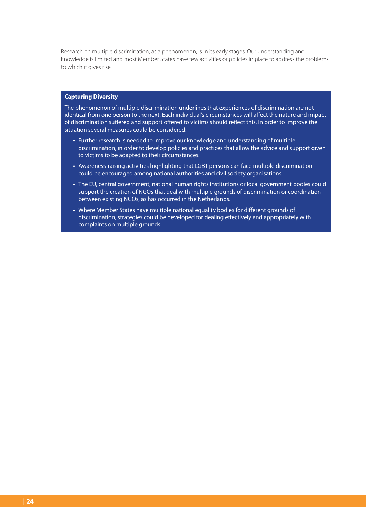Research on multiple discrimination, as a phenomenon, is in its early stages. Our understanding and knowledge is limited and most Member States have few activities or policies in place to address the problems to which it gives rise.

#### **Capturing Diversity**

The phenomenon of multiple discrimination underlines that experiences of discrimination are not identical from one person to the next. Each individual's circumstances will affect the nature and impact of discrimination suffered and support offered to victims should reflect this. In order to improve the situation several measures could be considered:

- Further research is needed to improve our knowledge and understanding of multiple discrimination, in order to develop policies and practices that allow the advice and support given to victims to be adapted to their circumstances.
- Awareness-raising activities highlighting that LGBT persons can face multiple discrimination could be encouraged among national authorities and civil society organisations.
- The EU, central government, national human rights institutions or local government bodies could support the creation of NGOs that deal with multiple grounds of discrimination or coordination between existing NGOs, as has occurred in the Netherlands.
- Where Member States have multiple national equality bodies for different grounds of discrimination, strategies could be developed for dealing effectively and appropriately with complaints on multiple grounds.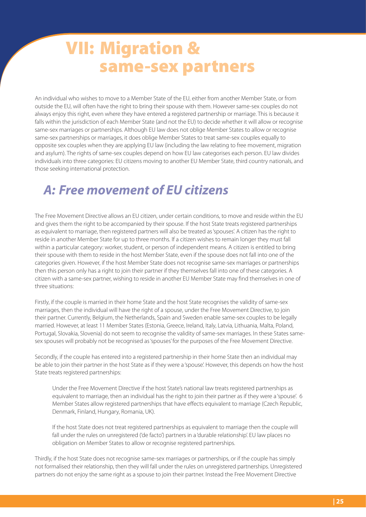## **VII: Migration & same-sex partners**

An individual who wishes to move to a Member State of the EU, either from another Member State, or from outside the EU, will often have the right to bring their spouse with them. However same-sex couples do not always enjoy this right, even where they have entered a registered partnership or marriage. This is because it falls within the jurisdiction of each Member State (and not the EU) to decide whether it will allow or recognise same-sex marriages or partnerships. Although EU law does not oblige Member States to allow or recognise same-sex partnerships or marriages, it does oblige Member States to treat same-sex couples equally to opposite sex couples when they are applying EU law (including the law relating to free movement, migration and asylum). The rights of same-sex couples depend on how EU law categorises each person. EU law divides individuals into three categories: EU citizens moving to another EU Member State, third country nationals, and those seeking international protection.

### *A: Free movement of EU citizens*

The Free Movement Directive allows an EU citizen, under certain conditions, to move and reside within the EU and gives them the right to be accompanied by their spouse. If the host State treats registered partnerships as equivalent to marriage, then registered partners will also be treated as 'spouses'. A citizen has the right to reside in another Member State for up to three months. If a citizen wishes to remain longer they must fall within a particular category: worker, student, or person of independent means. A citizen is entitled to bring their spouse with them to reside in the host Member State, even if the spouse does not fall into one of the categories given. However, if the host Member State does not recognise same-sex marriages or partnerships then this person only has a right to join their partner if they themselves fall into one of these categories. A citizen with a same-sex partner, wishing to reside in another EU Member State may find themselves in one of three situations:

Firstly, if the couple is married in their home State and the host State recognises the validity of same-sex marriages, then the individual will have the right of a spouse, under the Free Movement Directive, to join their partner. Currently, Belgium, the Netherlands, Spain and Sweden enable same-sex couples to be legally married. However, at least 11 Member States (Estonia, Greece, Ireland, Italy, Latvia, Lithuania, Malta, Poland, Portugal, Slovakia, Slovenia) do not seem to recognise the validity of same-sex marriages. In these States samesex spouses will probably not be recognised as 'spouses' for the purposes of the Free Movement Directive.

Secondly, if the couple has entered into a registered partnership in their home State then an individual may be able to join their partner in the host State as if they were a 'spouse'. However, this depends on how the host State treats registered partnerships:

Under the Free Movement Directive if the host State's national law treats registered partnerships as equivalent to marriage, then an individual has the right to join their partner as if they were a 'spouse'. 6 Member States allow registered partnerships that have effects equivalent to marriage (Czech Republic, Denmark, Finland, Hungary, Romania, UK).

If the host State does not treat registered partnerships as equivalent to marriage then the couple will fall under the rules on unregistered ('de facto') partners in a 'durable relationship'. EU law places no obligation on Member States to allow or recognise registered partnerships.

Thirdly, if the host State does not recognise same-sex marriages or partnerships, or if the couple has simply not formalised their relationship, then they will fall under the rules on unregistered partnerships. Unregistered partners do not enjoy the same right as a spouse to join their partner. Instead the Free Movement Directive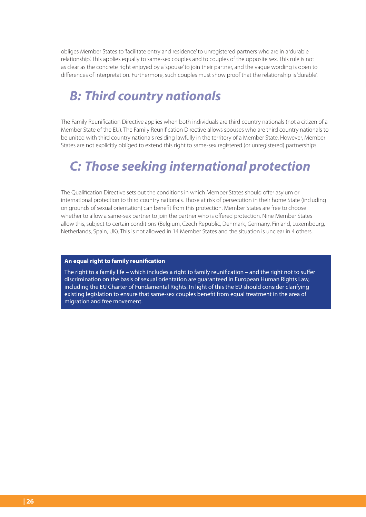obliges Member States to 'facilitate entry and residence' to unregistered partners who are in a 'durable relationship'. This applies equally to same-sex couples and to couples of the opposite sex. This rule is not as clear as the concrete right enjoyed by a 'spouse' to join their partner, and the vague wording is open to differences of interpretation. Furthermore, such couples must show proof that the relationship is 'durable'.

### *B: Third country nationals*

The Family Reunification Directive applies when both individuals are third country nationals (not a citizen of a Member State of the EU). The Family Reunification Directive allows spouses who are third country nationals to be united with third country nationals residing lawfully in the territory of a Member State. However, Member States are not explicitly obliged to extend this right to same-sex registered (or unregistered) partnerships.

## *C: Those seeking international protection*

The Qualification Directive sets out the conditions in which Member States should offer asylum or international protection to third country nationals. Those at risk of persecution in their home State (including on grounds of sexual orientation) can benefit from this protection. Member States are free to choose whether to allow a same-sex partner to join the partner who is offered protection. Nine Member States allow this, subject to certain conditions (Belgium, Czech Republic, Denmark, Germany, Finland, Luxembourg, Netherlands, Spain, UK). This is not allowed in 14 Member States and the situation is unclear in 4 others.

### **An equal right to family reunification**

The right to a family life – which includes a right to family reunification – and the right not to suffer discrimination on the basis of sexual orientation are guaranteed in European Human Rights Law, including the EU Charter of Fundamental Rights. In light of this the EU should consider clarifying existing legislation to ensure that same-sex couples benefit from equal treatment in the area of migration and free movement.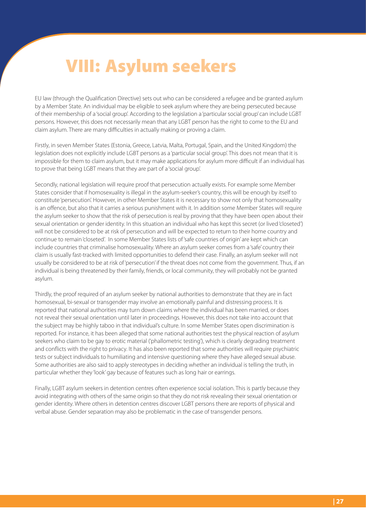# **VIII: Asylum seekers**

EU law (through the Qualification Directive) sets out who can be considered a refugee and be granted asylum by a Member State. An individual may be eligible to seek asylum where they are being persecuted because of their membership of a 'social group'. According to the legislation a 'particular social group' can include LGBT persons. However, this does not necessarily mean that any LGBT person has the right to come to the EU and claim asylum. There are many difficulties in actually making or proving a claim.

Firstly, in seven Member States (Estonia, Greece, Latvia, Malta, Portugal, Spain, and the United Kingdom) the legislation does not explicitly include LGBT persons as a 'particular social group'. This does not mean that it is impossible for them to claim asylum, but it may make applications for asylum more difficult if an individual has to prove that being LGBT means that they are part of a 'social group'.

Secondly, national legislation will require proof that persecution actually exists. For example some Member States consider that if homosexuality is illegal in the asylum-seeker's country, this will be enough by itself to constitute 'persecution'. However, in other Member States it is necessary to show not only that homosexuality is an offence, but also that it carries a serious punishment with it. In addition some Member States will require the asylum seeker to show that the risk of persecution is real by proving that they have been open about their sexual orientation or gender identity. In this situation an individual who has kept this secret (or lived 'closeted') will not be considered to be at risk of persecution and will be expected to return to their home country and continue to remain 'closeted'. In some Member States lists of 'safe countries of origin' are kept which can include countries that criminalise homosexuality. Where an asylum seeker comes from a 'safe' country their claim is usually fast-tracked with limited opportunities to defend their case. Finally, an asylum seeker will not usually be considered to be at risk of 'persecution' if the threat does not come from the government. Thus, if an individual is being threatened by their family, friends, or local community, they will probably not be granted asylum.

Thirdly, the proof required of an asylum seeker by national authorities to demonstrate that they are in fact homosexual, bi-sexual or transgender may involve an emotionally painful and distressing process. It is reported that national authorities may turn down claims where the individual has been married, or does not reveal their sexual orientation until later in proceedings. However, this does not take into account that the subject may be highly taboo in that individual's culture. In some Member States open discrimination is reported. For instance, it has been alleged that some national authorities test the physical reaction of asylum seekers who claim to be gay to erotic material ('phallometric testing'), which is clearly degrading treatment and conflicts with the right to privacy. It has also been reported that some authorities will require psychiatric tests or subject individuals to humiliating and intensive questioning where they have alleged sexual abuse. Some authorities are also said to apply stereotypes in deciding whether an individual is telling the truth, in particular whether they 'look' gay because of features such as long hair or earrings.

Finally, LGBT asylum seekers in detention centres often experience social isolation. This is partly because they avoid integrating with others of the same origin so that they do not risk revealing their sexual orientation or gender identity. Where others in detention centres discover LGBT persons there are reports of physical and verbal abuse. Gender separation may also be problematic in the case of transgender persons.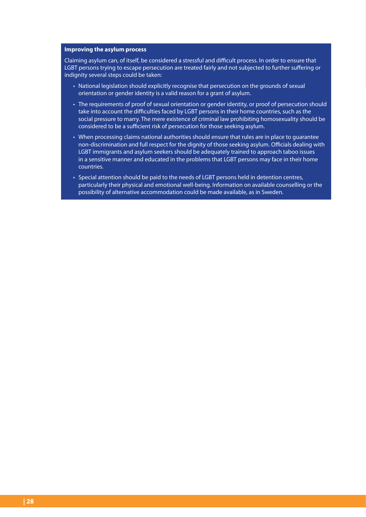#### **Improving the asylum process**

Claiming asylum can, of itself, be considered a stressful and difficult process. In order to ensure that LGBT persons trying to escape persecution are treated fairly and not subjected to further suffering or indignity several steps could be taken:

- National legislation should explicitly recognise that persecution on the grounds of sexual orientation or gender identity is a valid reason for a grant of asylum.
- The requirements of proof of sexual orientation or gender identity, or proof of persecution should take into account the difficulties faced by LGBT persons in their home countries, such as the social pressure to marry. The mere existence of criminal law prohibiting homosexuality should be considered to be a sufficient risk of persecution for those seeking asylum.
- When processing claims national authorities should ensure that rules are in place to guarantee non-discrimination and full respect for the dignity of those seeking asylum. Officials dealing with LGBT immigrants and asylum seekers should be adequately trained to approach taboo issues in a sensitive manner and educated in the problems that LGBT persons may face in their home countries.
- Special attention should be paid to the needs of LGBT persons held in detention centres, particularly their physical and emotional well-being. Information on available counselling or the possibility of alternative accommodation could be made available, as in Sweden.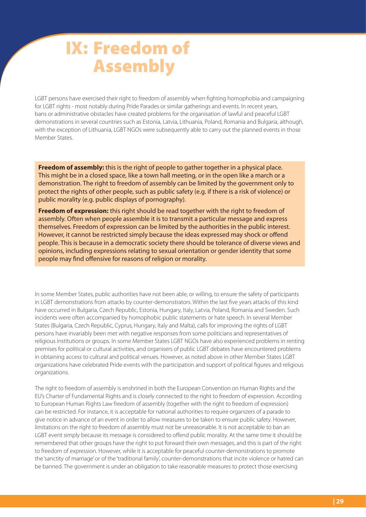# **IX: Freedom of Assembly**

LGBT persons have exercised their right to freedom of assembly when fighting homophobia and campaigning for LGBT rights - most notably during Pride Parades or similar gatherings and events. In recent years, bans or administrative obstacles have created problems for the organisation of lawful and peaceful LGBT demonstrations in several countries such as Estonia, Latvia, Lithuania, Poland, Romania and Bulgaria, although, with the exception of Lithuania, LGBT NGOs were subsequently able to carry out the planned events in those Member States.

**Freedom of assembly:** this is the right of people to gather together in a physical place. This might be in a closed space, like a town hall meeting, or in the open like a march or a demonstration. The right to freedom of assembly can be limited by the government only to protect the rights of other people, such as public safety (e.g. if there is a risk of violence) or public morality (e.g. public displays of pornography).

**Freedom of expression:** this right should be read together with the right to freedom of assembly. Often when people assemble it is to transmit a particular message and express themselves. Freedom of expression can be limited by the authorities in the public interest. However, it cannot be restricted simply because the ideas expressed may shock or offend people. This is because in a democratic society there should be tolerance of diverse views and opinions, including expressions relating to sexual orientation or gender identity that some people may find offensive for reasons of religion or morality.

In some Member States, public authorities have not been able, or willing, to ensure the safety of participants in LGBT demonstrations from attacks by counter-demonstrators. Within the last five years attacks of this kind have occurred in Bulgaria, Czech Republic, Estonia, Hungary, Italy, Latvia, Poland, Romania and Sweden. Such incidents were often accompanied by homophobic public statements or hate speech. In several Member States (Bulgaria, Czech Republic, Cyprus, Hungary, Italy and Malta), calls for improving the rights of LGBT persons have invariably been met with negative responses from some politicians and representatives of religious institutions or groups. In some Member States LGBT NGOs have also experienced problems in renting premises for political or cultural activities, and organisers of public LGBT debates have encountered problems in obtaining access to cultural and political venues. However, as noted above in other Member States LGBT organizations have celebrated Pride events with the participation and support of political figures and religious organizations.

The right to freedom of assembly is enshrined in both the European Convention on Human Rights and the EU's Charter of Fundamental Rights and is closely connected to the right to freedom of expression. According to European Human Rights Law freedom of assembly (together with the right to freedom of expression) can be restricted. For instance, it is acceptable for national authorities to require organizers of a parade to give notice in advance of an event in order to allow measures to be taken to ensure public safety. However, limitations on the right to freedom of assembly must not be unreasonable. It is not acceptable to ban an LGBT event simply because its message is considered to offend public morality. At the same time it should be remembered that other groups have the right to put forward their own messages, and this is part of the right to freedom of expression. However, while it is acceptable for peaceful counter-demonstrations to promote the 'sanctity of marriage' or of the 'traditional family', counter-demonstrations that incite violence or hatred can be banned. The government is under an obligation to take reasonable measures to protect those exercising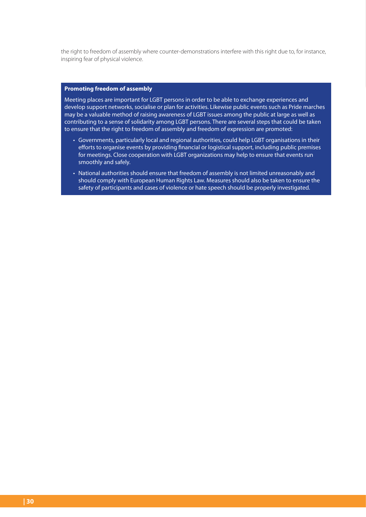the right to freedom of assembly where counter-demonstrations interfere with this right due to, for instance, inspiring fear of physical violence.

### **Promoting freedom of assembly**

Meeting places are important for LGBT persons in order to be able to exchange experiences and develop support networks, socialise or plan for activities. Likewise public events such as Pride marches may be a valuable method of raising awareness of LGBT issues among the public at large as well as contributing to a sense of solidarity among LGBT persons. There are several steps that could be taken to ensure that the right to freedom of assembly and freedom of expression are promoted:

- Governments, particularly local and regional authorities, could help LGBT organisations in their efforts to organise events by providing financial or logistical support, including public premises for meetings. Close cooperation with LGBT organizations may help to ensure that events run smoothly and safely.
- National authorities should ensure that freedom of assembly is not limited unreasonably and should comply with European Human Rights Law. Measures should also be taken to ensure the safety of participants and cases of violence or hate speech should be properly investigated.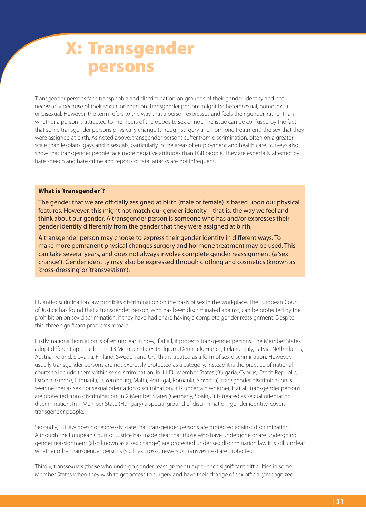# **X: Transgender persons**

Transgender persons face transphobia and discrimination on grounds of their gender identity and not necessarily because of their sexual orientation. Transgender persons might be heterosexual, homosexual or bisexual. However, the term refers to the way that a person expresses and feels their gender, rather than whether a person is attracted to members of the opposite sex or not. The issue can be confused by the fact that some transgender persons physically change (through surgery and hormone treatment) the sex that they were assigned at birth. As noted above, transgender persons suffer from discrimination, often on a greater scale than lesbians, gays and bisexuals, particularly in the areas of employment and health care. Surveys also show that transgender people face more negative attitudes than LGB people. They are especially affected by hate speech and hate crime and reports of fatal attacks are not infrequent.

#### **What is 'transgender'?**

The gender that we are officially assigned at birth (male or female) is based upon our physical features. However, this might not match our gender identity – that is, the way we feel and think about our gender. A transgender person is someone who has and/or expresses their gender identity differently from the gender that they were assigned at birth.

A transgender person may choose to express their gender identity in different ways. To make more permanent physical changes surgery and hormone treatment may be used. This can take several years, and does not always involve complete gender reassignment (a 'sex change'). Gender identity may also be expressed through clothing and cosmetics (known as 'cross-dressing' or 'transvestism').

EU anti-discrimination law prohibits discrimination on the basis of sex in the workplace. The European Court of Justice has found that a transgender person, who has been discriminated against, can be protected by the prohibition on sex discrimination, if they have had or are having a complete gender reassignment. Despite this, three significant problems remain.

Firstly, national legislation is often unclear in how, if at all, it protects transgender persons. The Member States adopt different approaches. In 13 Member States (Belgium, Denmark, France, Ireland, Italy, Latvia, Netherlands, Austria, Poland, Slovakia, Finland, Sweden and UK) this is treated as a form of sex discrimination. However, usually transgender persons are not expressly protected as a category. Instead it is the practice of national courts to include them within sex discrimination. In 11 EU Member States (Bulgaria, Cyprus, Czech Republic, Estonia, Greece, Lithuania, Luxembourg, Malta, Portugal, Romania, Slovenia), transgender discrimination is seen neither as sex nor sexual orientation discrimination. It is uncertain whether, if at all, transgender persons are protected from discrimination. In 2 Member States (Germany, Spain), it is treated as sexual orientation discrimination. In 1 Member State (Hungary) a special ground of discrimination, gender identity, covers transgender people.

Secondly, EU law does not expressly state that transgender persons are protected against discrimination. Although the European Court of Justice has made clear that those who have undergone or are undergoing gender reassignment (also known as a 'sex change') are protected under sex discrimination law it is still unclear whether other transgender persons (such as cross-dressers or transvestites) are protected.

Thirdly, transsexuals (those who undergo gender reassignment) experience significant difficulties in some Member States when they wish to get access to surgery and have their change of sex officially recognized.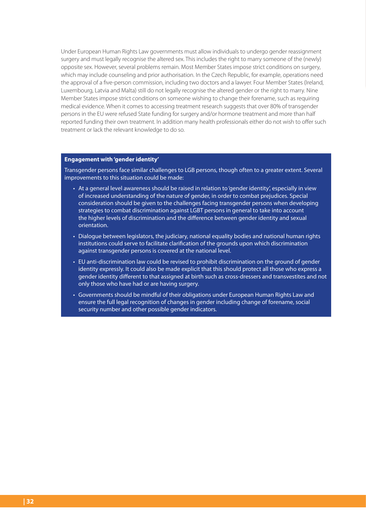Under European Human Rights Law governments must allow individuals to undergo gender reassignment surgery and must legally recognise the altered sex. This includes the right to marry someone of the (newly) opposite sex. However, several problems remain. Most Member States impose strict conditions on surgery, which may include counseling and prior authorisation. In the Czech Republic, for example, operations need the approval of a five-person commission, including two doctors and a lawyer. Four Member States (Ireland, Luxembourg, Latvia and Malta) still do not legally recognise the altered gender or the right to marry. Nine Member States impose strict conditions on someone wishing to change their forename, such as requiring medical evidence. When it comes to accessing treatment research suggests that over 80% of transgender persons in the EU were refused State funding for surgery and/or hormone treatment and more than half reported funding their own treatment. In addition many health professionals either do not wish to offer such treatment or lack the relevant knowledge to do so.

#### **Engagement with 'gender identity'**

Transgender persons face similar challenges to LGB persons, though often to a greater extent. Several improvements to this situation could be made:

- At a general level awareness should be raised in relation to 'gender identity', especially in view of increased understanding of the nature of gender, in order to combat prejudices. Special consideration should be given to the challenges facing transgender persons when developing strategies to combat discrimination against LGBT persons in general to take into account the higher levels of discrimination and the difference between gender identity and sexual orientation.
- Dialogue between legislators, the judiciary, national equality bodies and national human rights institutions could serve to facilitate clarification of the grounds upon which discrimination against transgender persons is covered at the national level.
- EU anti-discrimination law could be revised to prohibit discrimination on the ground of gender identity expressly. It could also be made explicit that this should protect all those who express a gender identity different to that assigned at birth such as cross-dressers and transvestites and not only those who have had or are having surgery.
- Governments should be mindful of their obligations under European Human Rights Law and ensure the full legal recognition of changes in gender including change of forename, social security number and other possible gender indicators.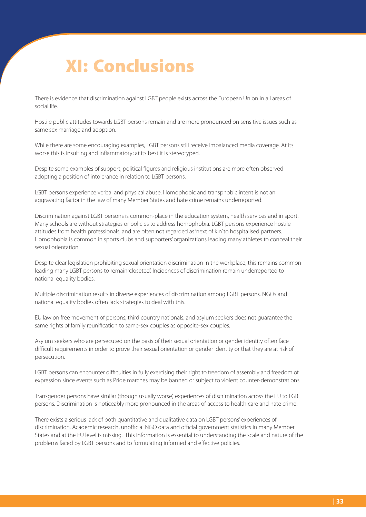# **XI: Conclusions**

There is evidence that discrimination against LGBT people exists across the European Union in all areas of social life.

Hostile public attitudes towards LGBT persons remain and are more pronounced on sensitive issues such as same sex marriage and adoption.

While there are some encouraging examples, LGBT persons still receive imbalanced media coverage. At its worse this is insulting and inflammatory; at its best it is stereotyped.

Despite some examples of support, political figures and religious institutions are more often observed adopting a position of intolerance in relation to LGBT persons.

LGBT persons experience verbal and physical abuse. Homophobic and transphobic intent is not an aggravating factor in the law of many Member States and hate crime remains underreported.

Discrimination against LGBT persons is common-place in the education system, health services and in sport. Many schools are without strategies or policies to address homophobia. LGBT persons experience hostile attitudes from health professionals, and are often not regarded as 'next of kin' to hospitalised partners. Homophobia is common in sports clubs and supporters' organizations leading many athletes to conceal their sexual orientation.

Despite clear legislation prohibiting sexual orientation discrimination in the workplace, this remains common leading many LGBT persons to remain 'closeted'. Incidences of discrimination remain underreported to national equality bodies.

Multiple discrimination results in diverse experiences of discrimination among LGBT persons. NGOs and national equality bodies often lack strategies to deal with this.

EU law on free movement of persons, third country nationals, and asylum seekers does not guarantee the same rights of family reunification to same-sex couples as opposite-sex couples.

Asylum seekers who are persecuted on the basis of their sexual orientation or gender identity often face difficult requirements in order to prove their sexual orientation or gender identity or that they are at risk of persecution.

LGBT persons can encounter difficulties in fully exercising their right to freedom of assembly and freedom of expression since events such as Pride marches may be banned or subject to violent counter-demonstrations.

Transgender persons have similar (though usually worse) experiences of discrimination across the EU to LGB persons. Discrimination is noticeably more pronounced in the areas of access to health care and hate crime.

There exists a serious lack of both quantitative and qualitative data on LGBT persons' experiences of discrimination. Academic research, unofficial NGO data and official government statistics in many Member States and at the EU level is missing. This information is essential to understanding the scale and nature of the problems faced by LGBT persons and to formulating informed and effective policies.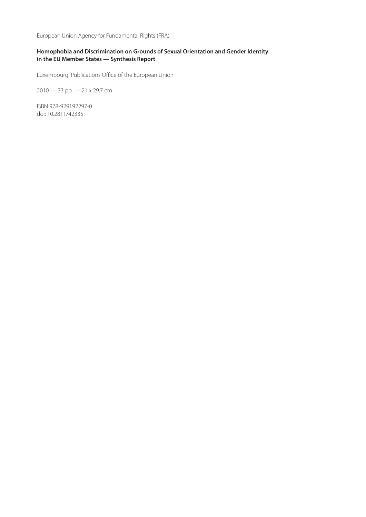European Union Agency for Fundamental Rights (FRA)

### **Homophobia and Discrimination on Grounds of Sexual Orientation and Gender Identity in the EU Member States — Synthesis Report**

Luxembourg: Publications Office of the European Union

2010 — 33 pp. — 21 x 29.7 cm

ISBN 978-929192297-0 doi: 10.2811/42335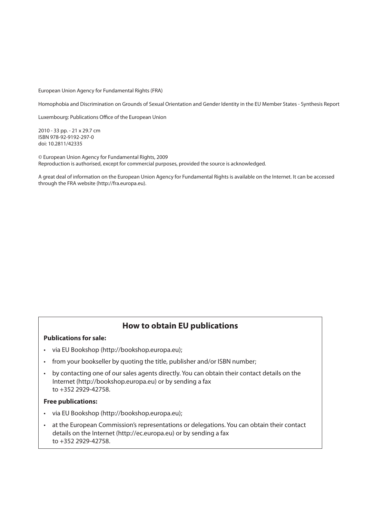European Union Agency for Fundamental Rights (FRA)

Homophobia and Discrimination on Grounds of Sexual Orientation and Gender Identity in the EU Member States - Synthesis Report

Luxembourg: Publications Office of the European Union

2010 - 33 pp. - 21 x 29.7 cm ISBN 978-92-9192-297-0 doi: 10.2811/42335

© European Union Agency for Fundamental Rights, 2009 Reproduction is authorised, except for commercial purposes, provided the source is acknowledged.

A great deal of information on the European Union Agency for Fundamental Rights is available on the Internet. It can be accessed through the FRA website (http://fra.europa.eu).

### **How to obtain EU publications**

### **Publications for sale:**

- via EU Bookshop (http://bookshop.europa.eu);
- from your bookseller by quoting the title, publisher and/or ISBN number;
- by contacting one of our sales agents directly. You can obtain their contact details on the Internet (http://bookshop.europa.eu) or by sending a fax to +352 2929-42758.

#### **Free publications:**

- via EU Bookshop (http://bookshop.europa.eu);
- at the European Commission's representations or delegations. You can obtain their contact details on the Internet (http://ec.europa.eu) or by sending a fax to +352 2929-42758.